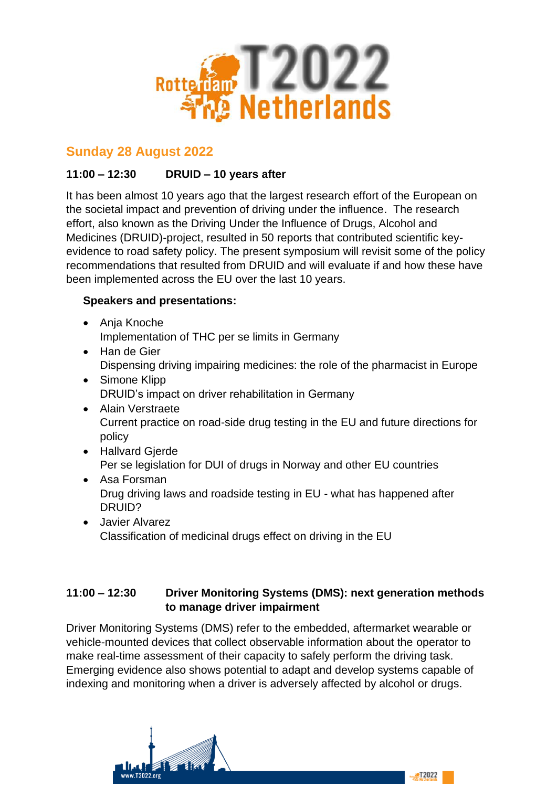

# **Sunday 28 August 2022**

# **11:00 – 12:30 DRUID – 10 years after**

It has been almost 10 years ago that the largest research effort of the European on the societal impact and prevention of driving under the influence. The research effort, also known as the Driving Under the Influence of Drugs, Alcohol and Medicines (DRUID)-project, resulted in 50 reports that contributed scientific keyevidence to road safety policy. The present symposium will revisit some of the policy recommendations that resulted from DRUID and will evaluate if and how these have been implemented across the EU over the last 10 years.

## **Speakers and presentations:**

- Anja Knoche Implementation of THC per se limits in Germany
- Han de Gier Dispensing driving impairing medicines: the role of the pharmacist in Europe
- Simone Klipp DRUID's impact on driver rehabilitation in Germany
- Alain Verstraete Current practice on road-side drug testing in the EU and future directions for policy
- Hallvard Gjerde Per se legislation for DUI of drugs in Norway and other EU countries
- Asa Forsman Drug driving laws and roadside testing in EU - what has happened after DRUID?
- Javier Alvarez Classification of medicinal drugs effect on driving in the EU

## **11:00 – 12:30 Driver Monitoring Systems (DMS): next generation methods to manage driver impairment**

Driver Monitoring Systems (DMS) refer to the embedded, aftermarket wearable or vehicle-mounted devices that collect observable information about the operator to make real-time assessment of their capacity to safely perform the driving task. Emerging evidence also shows potential to adapt and develop systems capable of indexing and monitoring when a driver is adversely affected by alcohol or drugs.

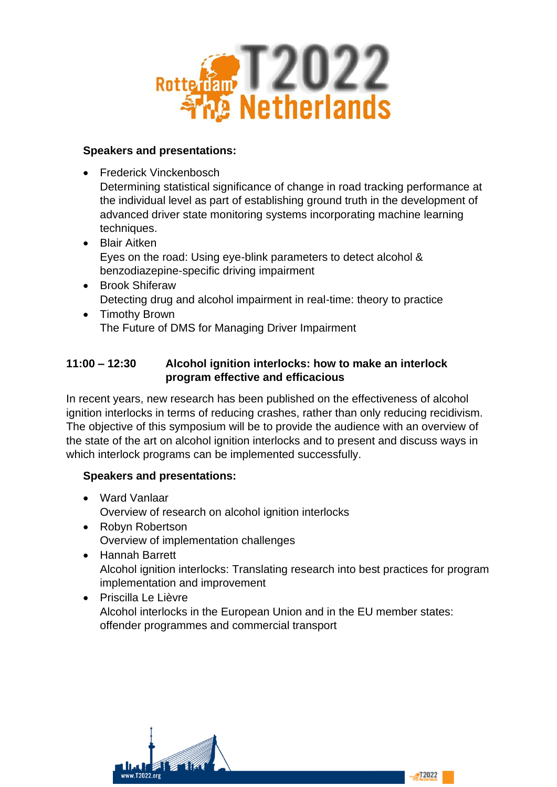

#### **Speakers and presentations:**

• Frederick Vinckenbosch

Determining statistical significance of change in road tracking performance at the individual level as part of establishing ground truth in the development of advanced driver state monitoring systems incorporating machine learning techniques.

- Blair Aitken Eyes on the road: Using eye-blink parameters to detect alcohol & benzodiazepine-specific driving impairment
- Brook Shiferaw Detecting drug and alcohol impairment in real-time: theory to practice
- Timothy Brown The Future of DMS for Managing Driver Impairment

## **11:00 – 12:30 Alcohol ignition interlocks: how to make an interlock program effective and efficacious**

In recent years, new research has been published on the effectiveness of alcohol ignition interlocks in terms of reducing crashes, rather than only reducing recidivism. The objective of this symposium will be to provide the audience with an overview of the state of the art on alcohol ignition interlocks and to present and discuss ways in which interlock programs can be implemented successfully.

- Ward Vanlaar Overview of research on alcohol ignition interlocks
- Robyn Robertson Overview of implementation challenges
- Hannah Barrett Alcohol ignition interlocks: Translating research into best practices for program implementation and improvement
- Priscilla Le Lièvre Alcohol interlocks in the European Union and in the EU member states: offender programmes and commercial transport

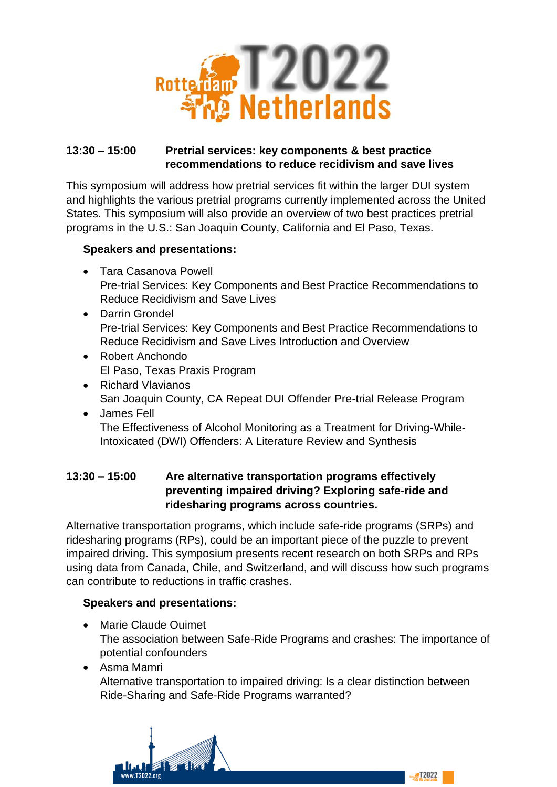

## **13:30 – 15:00 Pretrial services: key components & best practice recommendations to reduce recidivism and save lives**

This symposium will address how pretrial services fit within the larger DUI system and highlights the various pretrial programs currently implemented across the United States. This symposium will also provide an overview of two best practices pretrial programs in the U.S.: San Joaquin County, California and El Paso, Texas.

## **Speakers and presentations:**

- Tara Casanova Powell Pre-trial Services: Key Components and Best Practice Recommendations to Reduce Recidivism and Save Lives
- Darrin Grondel Pre-trial Services: Key Components and Best Practice Recommendations to Reduce Recidivism and Save Lives Introduction and Overview
- Robert Anchondo El Paso, Texas Praxis Program
- Richard Vlavianos San Joaquin County, CA Repeat DUI Offender Pre-trial Release Program
- James Fell The Effectiveness of Alcohol Monitoring as a Treatment for Driving-While-Intoxicated (DWI) Offenders: A Literature Review and Synthesis

## **13:30 – 15:00 Are alternative transportation programs effectively preventing impaired driving? Exploring safe-ride and ridesharing programs across countries.**

Alternative transportation programs, which include safe-ride programs (SRPs) and ridesharing programs (RPs), could be an important piece of the puzzle to prevent impaired driving. This symposium presents recent research on both SRPs and RPs using data from Canada, Chile, and Switzerland, and will discuss how such programs can contribute to reductions in traffic crashes.

#### **Speakers and presentations:**

- Marie Claude Ouimet The association between Safe-Ride Programs and crashes: The importance of potential confounders
- Asma Mamri

Alternative transportation to impaired driving: Is a clear distinction between Ride-Sharing and Safe-Ride Programs warranted?

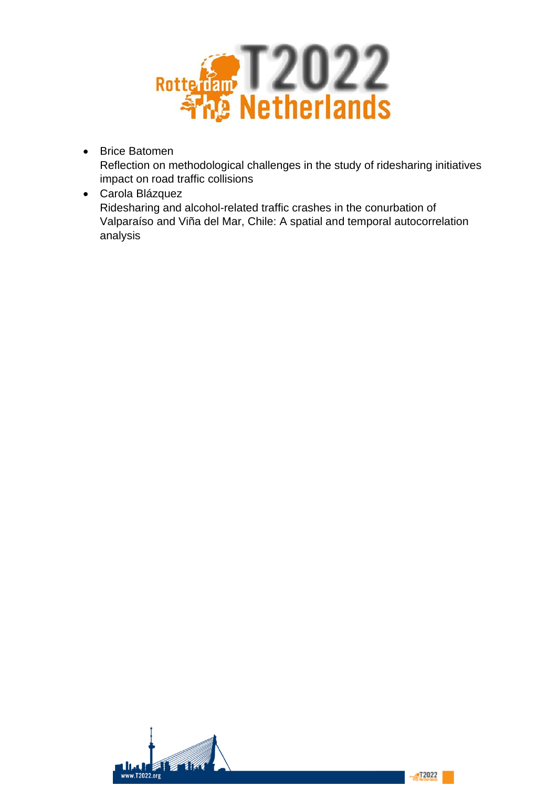

- Brice Batomen Reflection on methodological challenges in the study of ridesharing initiatives impact on road traffic collisions
- Carola Blázquez Ridesharing and alcohol-related traffic crashes in the conurbation of Valparaíso and Viña del Mar, Chile: A spatial and temporal autocorrelation analysis

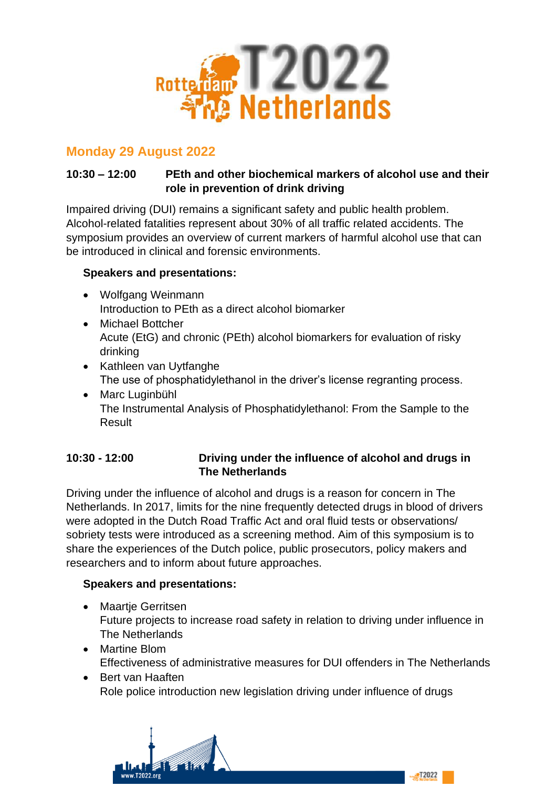

# **Monday 29 August 2022**

# **10:30 – 12:00 PEth and other biochemical markers of alcohol use and their role in prevention of drink driving**

Impaired driving (DUI) remains a significant safety and public health problem. Alcohol-related fatalities represent about 30% of all traffic related accidents. The symposium provides an overview of current markers of harmful alcohol use that can be introduced in clinical and forensic environments.

## **Speakers and presentations:**

- Wolfgang Weinmann Introduction to PEth as a direct alcohol biomarker
- Michael Bottcher Acute (EtG) and chronic (PEth) alcohol biomarkers for evaluation of risky drinking
- Kathleen van Uytfanghe The use of phosphatidylethanol in the driver's license regranting process.
- Marc Luginbühl The Instrumental Analysis of Phosphatidylethanol: From the Sample to the Result

# **10:30 - 12:00 Driving under the influence of alcohol and drugs in The Netherlands**

Driving under the influence of alcohol and drugs is a reason for concern in The Netherlands. In 2017, limits for the nine frequently detected drugs in blood of drivers were adopted in the Dutch Road Traffic Act and oral fluid tests or observations/ sobriety tests were introduced as a screening method. Aim of this symposium is to share the experiences of the Dutch police, public prosecutors, policy makers and researchers and to inform about future approaches.

# **Speakers and presentations:**

- Maartje Gerritsen Future projects to increase road safety in relation to driving under influence in The Netherlands
- Martine Blom Effectiveness of administrative measures for DUI offenders in The Netherlands
- Bert van Haaften Role police introduction new legislation driving under influence of drugs



T2022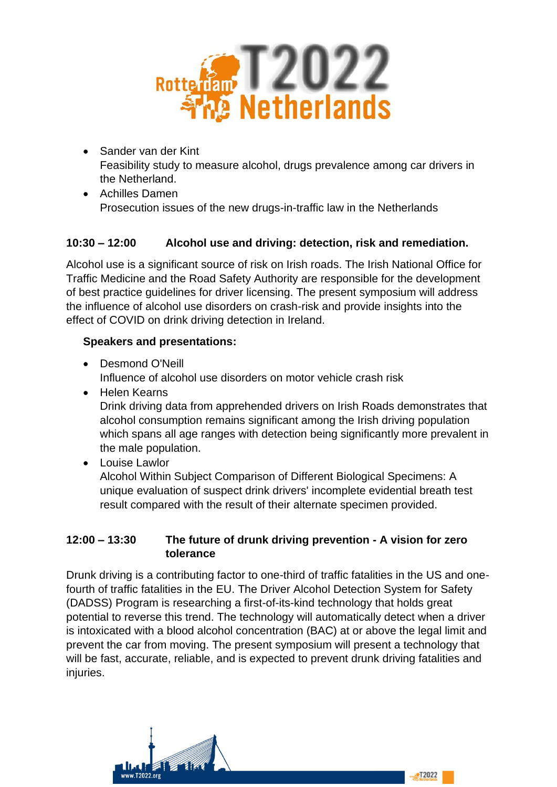

- Sander van der Kint Feasibility study to measure alcohol, drugs prevalence among car drivers in the Netherland.
- Achilles Damen Prosecution issues of the new drugs-in-traffic law in the Netherlands

# **10:30 – 12:00 Alcohol use and driving: detection, risk and remediation.**

Alcohol use is a significant source of risk on Irish roads. The Irish National Office for Traffic Medicine and the Road Safety Authority are responsible for the development of best practice guidelines for driver licensing. The present symposium will address the influence of alcohol use disorders on crash-risk and provide insights into the effect of COVID on drink driving detection in Ireland.

#### **Speakers and presentations:**

- Desmond O'Neill Influence of alcohol use disorders on motor vehicle crash risk
- Helen Kearns Drink driving data from apprehended drivers on Irish Roads demonstrates that alcohol consumption remains significant among the Irish driving population which spans all age ranges with detection being significantly more prevalent in the male population.
- Louise Lawlor Alcohol Within Subject Comparison of Different Biological Specimens: A unique evaluation of suspect drink drivers' incomplete evidential breath test result compared with the result of their alternate specimen provided.

#### **12:00 – 13:30 The future of drunk driving prevention - A vision for zero tolerance**

Drunk driving is a contributing factor to one-third of traffic fatalities in the US and onefourth of traffic fatalities in the EU. The Driver Alcohol Detection System for Safety (DADSS) Program is researching a first-of-its-kind technology that holds great potential to reverse this trend. The technology will automatically detect when a driver is intoxicated with a blood alcohol concentration (BAC) at or above the legal limit and prevent the car from moving. The present symposium will present a technology that will be fast, accurate, reliable, and is expected to prevent drunk driving fatalities and injuries.

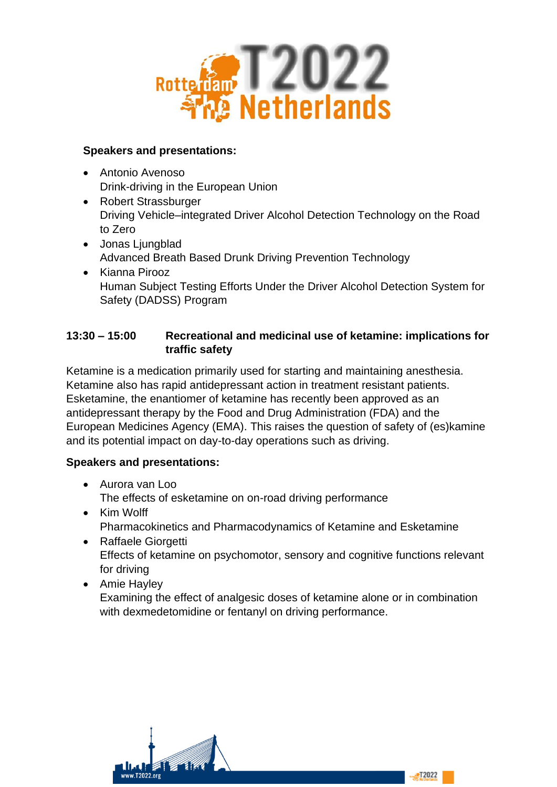

## **Speakers and presentations:**

- Antonio Avenoso Drink-driving in the European Union
- Robert Strassburger Driving Vehicle–integrated Driver Alcohol Detection Technology on the Road to Zero
- Jonas Ljungblad Advanced Breath Based Drunk Driving Prevention Technology
- Kianna Pirooz Human Subject Testing Efforts Under the Driver Alcohol Detection System for Safety (DADSS) Program

## **13:30 – 15:00 Recreational and medicinal use of ketamine: implications for traffic safety**

Ketamine is a medication primarily used for starting and maintaining anesthesia. Ketamine also has rapid antidepressant action in treatment resistant patients. Esketamine, the enantiomer of ketamine has recently been approved as an antidepressant therapy by the Food and Drug Administration (FDA) and the European Medicines Agency (EMA). This raises the question of safety of (es)kamine and its potential impact on day-to-day operations such as driving.

- Aurora van Loo The effects of esketamine on on-road driving performance
- Kim Wolff Pharmacokinetics and Pharmacodynamics of Ketamine and Esketamine
- Raffaele Giorgetti Effects of ketamine on psychomotor, sensory and cognitive functions relevant for driving
- Amie Hayley Examining the effect of analgesic doses of ketamine alone or in combination with dexmedetomidine or fentanyl on driving performance.

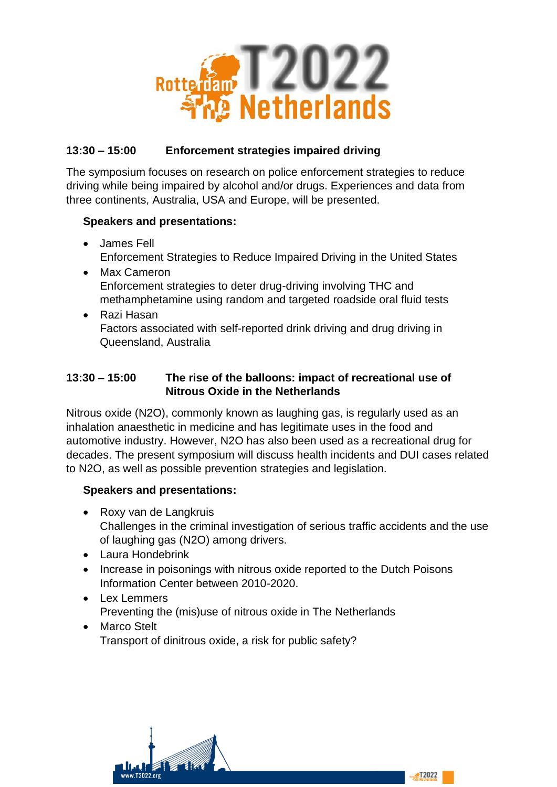

## **13:30 – 15:00 Enforcement strategies impaired driving**

The symposium focuses on research on police enforcement strategies to reduce driving while being impaired by alcohol and/or drugs. Experiences and data from three continents, Australia, USA and Europe, will be presented.

## **Speakers and presentations:**

- James Fell Enforcement Strategies to Reduce Impaired Driving in the United States
- Max Cameron Enforcement strategies to deter drug-driving involving THC and methamphetamine using random and targeted roadside oral fluid tests
- Razi Hasan Factors associated with self-reported drink driving and drug driving in Queensland, Australia

## **13:30 – 15:00 The rise of the balloons: impact of recreational use of Nitrous Oxide in the Netherlands**

Nitrous oxide (N2O), commonly known as laughing gas, is regularly used as an inhalation anaesthetic in medicine and has legitimate uses in the food and automotive industry. However, N2O has also been used as a recreational drug for decades. The present symposium will discuss health incidents and DUI cases related to N2O, as well as possible prevention strategies and legislation.

- Roxy van de Langkruis Challenges in the criminal investigation of serious traffic accidents and the use of laughing gas (N2O) among drivers.
- Laura Hondebrink
- Increase in poisonings with nitrous oxide reported to the Dutch Poisons Information Center between 2010-2020.
- Lex Lemmers Preventing the (mis)use of nitrous oxide in The Netherlands
- Marco Stelt Transport of dinitrous oxide, a risk for public safety?

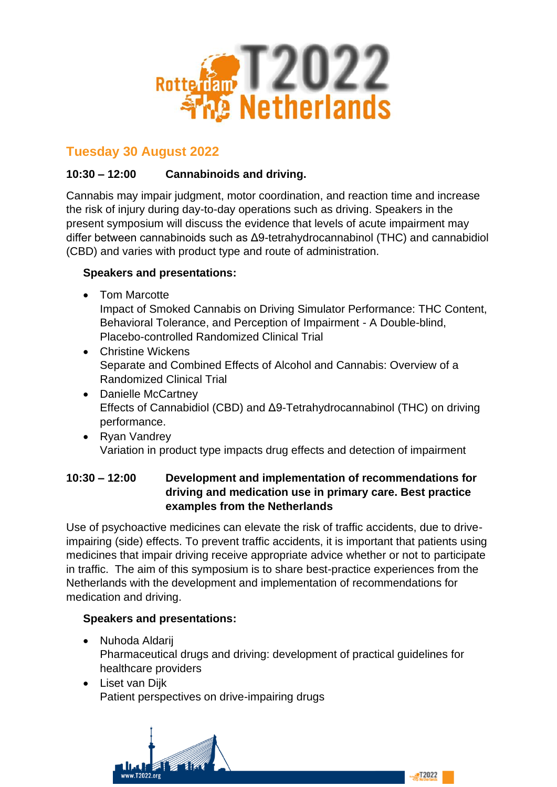

# **Tuesday 30 August 2022**

# **10:30 – 12:00 Cannabinoids and driving.**

Cannabis may impair judgment, motor coordination, and reaction time and increase the risk of injury during day-to-day operations such as driving. Speakers in the present symposium will discuss the evidence that levels of acute impairment may differ between cannabinoids such as Δ9-tetrahydrocannabinol (THC) and cannabidiol (CBD) and varies with product type and route of administration.

# **Speakers and presentations:**

• Tom Marcotte

Impact of Smoked Cannabis on Driving Simulator Performance: THC Content, Behavioral Tolerance, and Perception of Impairment - A Double-blind, Placebo-controlled Randomized Clinical Trial

- Christine Wickens Separate and Combined Effects of Alcohol and Cannabis: Overview of a Randomized Clinical Trial
- Danielle McCartney Effects of Cannabidiol (CBD) and Δ9-Tetrahydrocannabinol (THC) on driving performance.
- Ryan Vandrey Variation in product type impacts drug effects and detection of impairment

## **10:30 – 12:00 Development and implementation of recommendations for driving and medication use in primary care. Best practice examples from the Netherlands**

Use of psychoactive medicines can elevate the risk of traffic accidents, due to driveimpairing (side) effects. To prevent traffic accidents, it is important that patients using medicines that impair driving receive appropriate advice whether or not to participate in traffic. The aim of this symposium is to share best-practice experiences from the Netherlands with the development and implementation of recommendations for medication and driving.

- Nuhoda Aldarij Pharmaceutical drugs and driving: development of practical guidelines for healthcare providers
- Liset van Dijk Patient perspectives on drive-impairing drugs

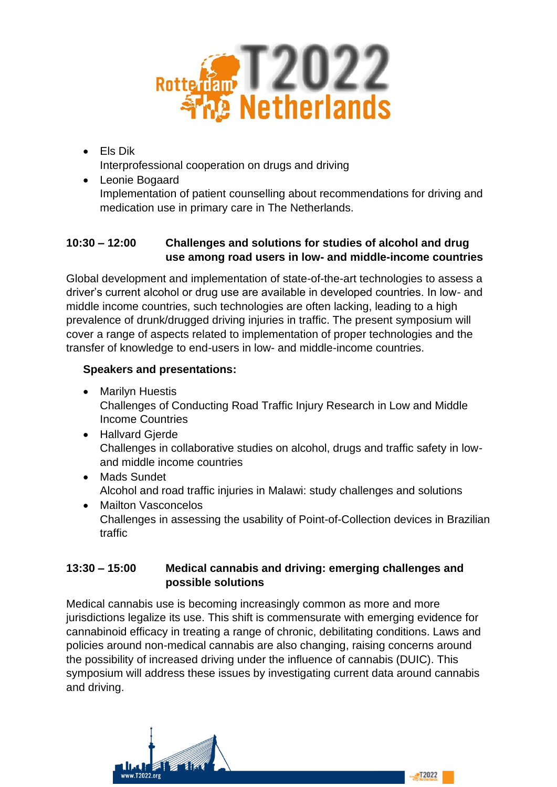

- Els Dik Interprofessional cooperation on drugs and driving
- Leonie Bogaard Implementation of patient counselling about recommendations for driving and medication use in primary care in The Netherlands.

## **10:30 – 12:00 Challenges and solutions for studies of alcohol and drug use among road users in low- and middle-income countries**

Global development and implementation of state-of-the-art technologies to assess a driver's current alcohol or drug use are available in developed countries. In low- and middle income countries, such technologies are often lacking, leading to a high prevalence of drunk/drugged driving injuries in traffic. The present symposium will cover a range of aspects related to implementation of proper technologies and the transfer of knowledge to end-users in low- and middle-income countries.

# **Speakers and presentations:**

- Marilyn Huestis Challenges of Conducting Road Traffic Injury Research in Low and Middle Income Countries
- Hallvard Gjerde Challenges in collaborative studies on alcohol, drugs and traffic safety in lowand middle income countries
- Mads Sundet Alcohol and road traffic injuries in Malawi: study challenges and solutions
- Mailton Vasconcelos Challenges in assessing the usability of Point-of-Collection devices in Brazilian traffic

## **13:30 – 15:00 Medical cannabis and driving: emerging challenges and possible solutions**

Medical cannabis use is becoming increasingly common as more and more jurisdictions legalize its use. This shift is commensurate with emerging evidence for cannabinoid efficacy in treating a range of chronic, debilitating conditions. Laws and policies around non-medical cannabis are also changing, raising concerns around the possibility of increased driving under the influence of cannabis (DUIC). This symposium will address these issues by investigating current data around cannabis and driving.

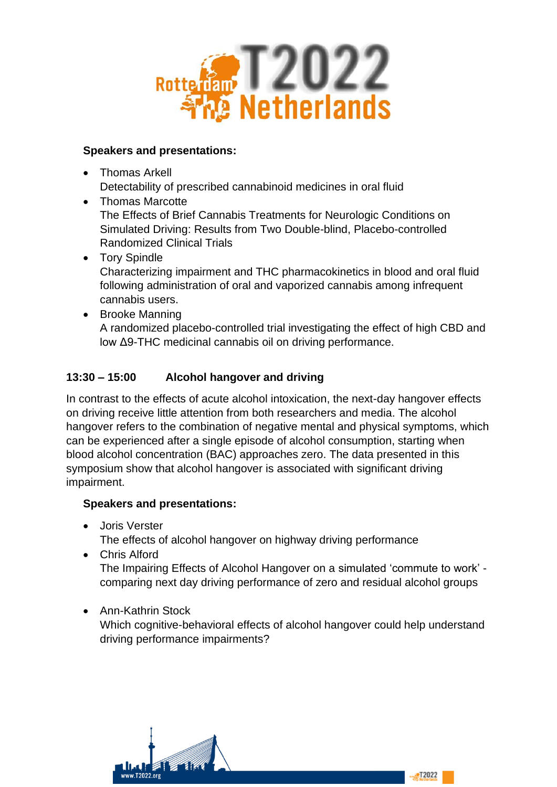

## **Speakers and presentations:**

• Thomas Arkell

Detectability of prescribed cannabinoid medicines in oral fluid

- Thomas Marcotte The Effects of Brief Cannabis Treatments for Neurologic Conditions on Simulated Driving: Results from Two Double-blind, Placebo-controlled Randomized Clinical Trials
- Tory Spindle Characterizing impairment and THC pharmacokinetics in blood and oral fluid following administration of oral and vaporized cannabis among infrequent cannabis users.
- Brooke Manning A randomized placebo-controlled trial investigating the effect of high CBD and low Δ9-THC medicinal cannabis oil on driving performance.

# **13:30 – 15:00 Alcohol hangover and driving**

In contrast to the effects of acute alcohol intoxication, the next-day hangover effects on driving receive little attention from both researchers and media. The alcohol hangover refers to the combination of negative mental and physical symptoms, which can be experienced after a single episode of alcohol consumption, starting when blood alcohol concentration (BAC) approaches zero. The data presented in this symposium show that alcohol hangover is associated with significant driving impairment.

# **Speakers and presentations:**

• Joris Verster

The effects of alcohol hangover on highway driving performance

• Chris Alford

The Impairing Effects of Alcohol Hangover on a simulated 'commute to work' comparing next day driving performance of zero and residual alcohol groups

• Ann-Kathrin Stock

Which cognitive-behavioral effects of alcohol hangover could help understand driving performance impairments?

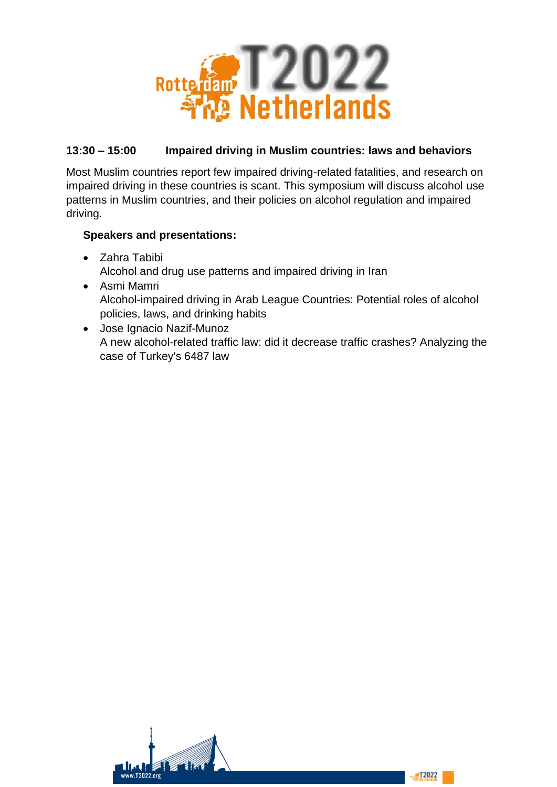

# **13:30 – 15:00 Impaired driving in Muslim countries: laws and behaviors**

Most Muslim countries report few impaired driving-related fatalities, and research on impaired driving in these countries is scant. This symposium will discuss alcohol use patterns in Muslim countries, and their policies on alcohol regulation and impaired driving.

- Zahra Tabibi Alcohol and drug use patterns and impaired driving in Iran
- Asmi Mamri Alcohol-impaired driving in Arab League Countries: Potential roles of alcohol policies, laws, and drinking habits
- Jose Ignacio Nazif-Munoz A new alcohol-related traffic law: did it decrease traffic crashes? Analyzing the case of Turkey's 6487 law